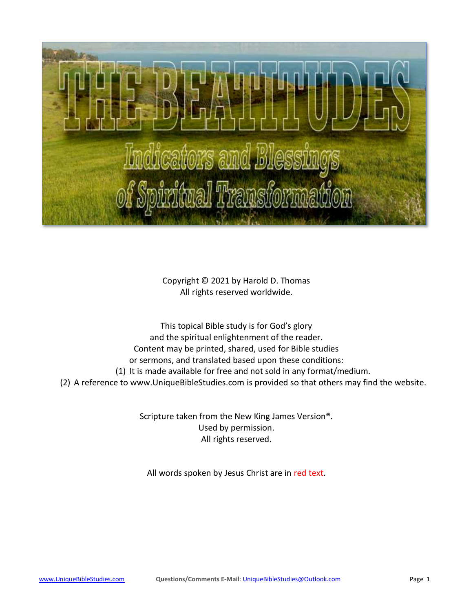

Copyright © 2021 by Harold D. Thomas All rights reserved worldwide.

This topical Bible study is for God's glory and the spiritual enlightenment of the reader. Content may be printed, shared, used for Bible studies or sermons, and translated based upon these conditions: (1) It is made available for free and not sold in any format/medium. (2) A reference to [www.UniqueBibleStudies.com](http://www.uniquebiblestudies.com/) is provided so that others may find the website.

> Scripture taken from the New King James Version®. Used by permission. All rights reserved.

All words spoken by Jesus Christ are in red text.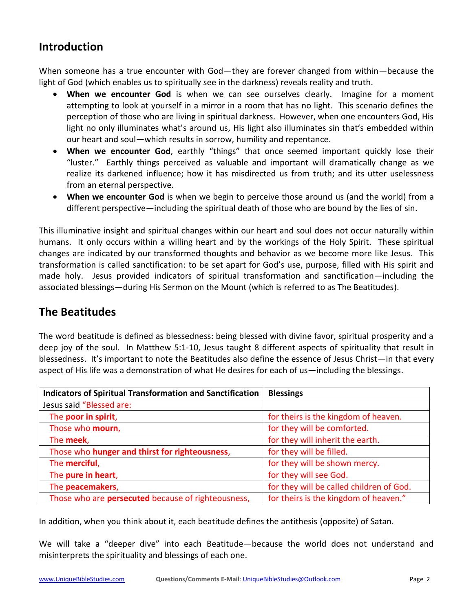## **Introduction**

When someone has a true encounter with God—they are forever changed from within—because the light of God (which enables us to spiritually see in the darkness) reveals reality and truth.

- **When we encounter God** is when we can see ourselves clearly. Imagine for a moment attempting to look at yourself in a mirror in a room that has no light. This scenario defines the perception of those who are living in spiritual darkness. However, when one encounters God, His light no only illuminates what's around us, His light also illuminates sin that's embedded within our heart and soul—which results in sorrow, humility and repentance.
- **When we encounter God**, earthly "things" that once seemed important quickly lose their "luster." Earthly things perceived as valuable and important will dramatically change as we realize its darkened influence; how it has misdirected us from truth; and its utter uselessness from an eternal perspective.
- **When we encounter God** is when we begin to perceive those around us (and the world) from a different perspective—including the spiritual death of those who are bound by the lies of sin.

This illuminative insight and spiritual changes within our heart and soul does not occur naturally within humans. It only occurs within a willing heart and by the workings of the Holy Spirit. These spiritual changes are indicated by our transformed thoughts and behavior as we become more like Jesus. This transformation is called sanctification: to be set apart for God's use, purpose, filled with His spirit and made holy. Jesus provided indicators of spiritual transformation and sanctification—including the associated blessings—during His Sermon on the Mount (which is referred to as The Beatitudes).

## **The Beatitudes**

The word beatitude is defined as blessedness: being blessed with divine favor, spiritual prosperity and a deep joy of the soul. In Matthew 5:1-10, Jesus taught 8 different aspects of spirituality that result in blessedness. It's important to note the Beatitudes also define the essence of Jesus Christ—in that every aspect of His life was a demonstration of what He desires for each of us—including the blessings.

| <b>Indicators of Spiritual Transformation and Sanctification</b>                            | <b>Blessings</b>                     |
|---------------------------------------------------------------------------------------------|--------------------------------------|
| Jesus said "Blessed are:                                                                    |                                      |
| The poor in spirit,                                                                         | for theirs is the kingdom of heaven. |
| Those who mourn,                                                                            | for they will be comforted.          |
| The meek,                                                                                   | for they will inherit the earth.     |
| Those who hunger and thirst for righteousness,                                              | for they will be filled.             |
| The merciful,                                                                               | for they will be shown mercy.        |
| The pure in heart,<br>for they will see God.                                                |                                      |
| for they will be called children of God.<br>The peacemakers,                                |                                      |
| for theirs is the kingdom of heaven."<br>Those who are persecuted because of righteousness, |                                      |

In addition, when you think about it, each beatitude defines the antithesis (opposite) of Satan.

We will take a "deeper dive" into each Beatitude—because the world does not understand and misinterprets the spirituality and blessings of each one.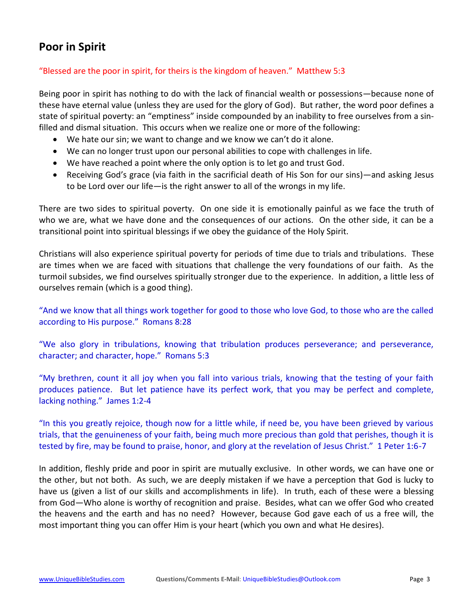# **Poor in Spirit**

## "Blessed are the poor in spirit, for theirs is the kingdom of heaven." Matthew 5:3

Being poor in spirit has nothing to do with the lack of financial wealth or possessions—because none of these have eternal value (unless they are used for the glory of God). But rather, the word poor defines a state of spiritual poverty: an "emptiness" inside compounded by an inability to free ourselves from a sinfilled and dismal situation. This occurs when we realize one or more of the following:

- We hate our sin; we want to change and we know we can't do it alone.
- We can no longer trust upon our personal abilities to cope with challenges in life.
- We have reached a point where the only option is to let go and trust God.
- Receiving God's grace (via faith in the sacrificial death of His Son for our sins)—and asking Jesus to be Lord over our life—is the right answer to all of the wrongs in my life.

There are two sides to spiritual poverty. On one side it is emotionally painful as we face the truth of who we are, what we have done and the consequences of our actions. On the other side, it can be a transitional point into spiritual blessings if we obey the guidance of the Holy Spirit.

Christians will also experience spiritual poverty for periods of time due to trials and tribulations. These are times when we are faced with situations that challenge the very foundations of our faith. As the turmoil subsides, we find ourselves spiritually stronger due to the experience. In addition, a little less of ourselves remain (which is a good thing).

"And we know that all things work together for good to those who love God, to those who are the called according to His purpose." Romans 8:28

"We also glory in tribulations, knowing that tribulation produces perseverance; and perseverance, character; and character, hope." Romans 5:3

"My brethren, count it all joy when you fall into various trials, knowing that the testing of your faith produces patience. But let patience have its perfect work, that you may be perfect and complete, lacking nothing." James 1:2-4

"In this you greatly rejoice, though now for a little while, if need be, you have been grieved by various trials, that the genuineness of your faith, being much more precious than gold that perishes, though it is tested by fire, may be found to praise, honor, and glory at the revelation of Jesus Christ." 1 Peter 1:6-7

In addition, fleshly pride and poor in spirit are mutually exclusive. In other words, we can have one or the other, but not both. As such, we are deeply mistaken if we have a perception that God is lucky to have us (given a list of our skills and accomplishments in life). In truth, each of these were a blessing from God—Who alone is worthy of recognition and praise. Besides, what can we offer God who created the heavens and the earth and has no need? However, because God gave each of us a free will, the most important thing you can offer Him is your heart (which you own and what He desires).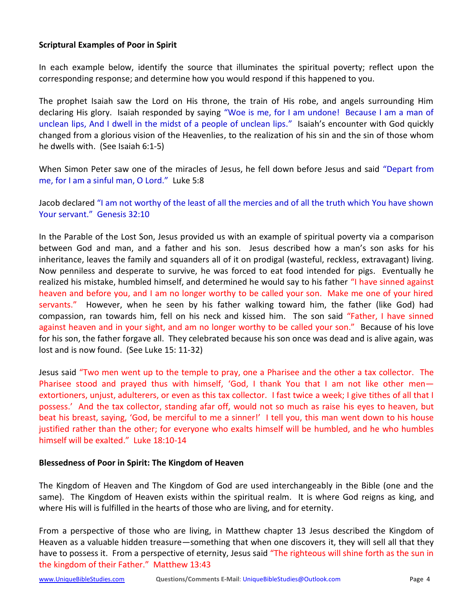### **Scriptural Examples of Poor in Spirit**

In each example below, identify the source that illuminates the spiritual poverty; reflect upon the corresponding response; and determine how you would respond if this happened to you.

The prophet Isaiah saw the Lord on His throne, the train of His robe, and angels surrounding Him declaring His glory. Isaiah responded by saying "Woe is me, for I am undone! Because I am a man of unclean lips, And I dwell in the midst of a people of unclean lips." Isaiah's encounter with God quickly changed from a glorious vision of the Heavenlies, to the realization of his sin and the sin of those whom he dwells with. (See Isaiah 6:1-5)

When Simon Peter saw one of the miracles of Jesus, he fell down before Jesus and said "Depart from me, for I am a sinful man, O Lord." Luke 5:8

Jacob declared "I am not worthy of the least of all the mercies and of all the truth which You have shown Your servant." Genesis 32:10

In the Parable of the Lost Son, Jesus provided us with an example of spiritual poverty via a comparison between God and man, and a father and his son. Jesus described how a man's son asks for his inheritance, leaves the family and squanders all of it on prodigal (wasteful, reckless, extravagant) living. Now penniless and desperate to survive, he was forced to eat food intended for pigs. Eventually he realized his mistake, humbled himself, and determined he would say to his father "I have sinned against heaven and before you, and I am no longer worthy to be called your son. Make me one of your hired servants." However, when he seen by his father walking toward him, the father (like God) had compassion, ran towards him, fell on his neck and kissed him. The son said "Father, I have sinned against heaven and in your sight, and am no longer worthy to be called your son." Because of his love for his son, the father forgave all. They celebrated because his son once was dead and is alive again, was lost and is now found. (See Luke 15: 11-32)

Jesus said "Two men went up to the temple to pray, one a Pharisee and the other a tax collector. The Pharisee stood and prayed thus with himself, 'God, I thank You that I am not like other menextortioners, unjust, adulterers, or even as this tax collector. I fast twice a week; I give tithes of all that I possess.' And the tax collector, standing afar off, would not so much as raise his eyes to heaven, but beat his breast, saying, 'God, be merciful to me a sinner!' I tell you, this man went down to his house justified rather than the other; for everyone who exalts himself will be humbled, and he who humbles himself will be exalted." Luke 18:10-14

### **Blessedness of Poor in Spirit: The Kingdom of Heaven**

The Kingdom of Heaven and The Kingdom of God are used interchangeably in the Bible (one and the same). The Kingdom of Heaven exists within the spiritual realm. It is where God reigns as king, and where His will is fulfilled in the hearts of those who are living, and for eternity.

From a perspective of those who are living, in Matthew chapter 13 Jesus described the Kingdom of Heaven as a valuable hidden treasure—something that when one discovers it, they will sell all that they have to possess it. From a perspective of eternity, Jesus said "The righteous will shine forth as the sun in the kingdom of their Father." Matthew 13:43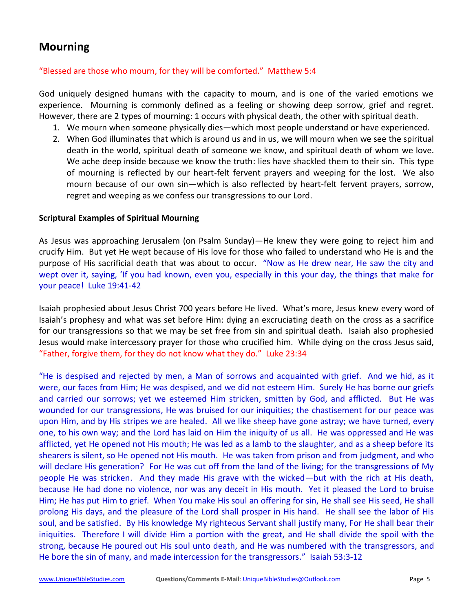## **Mourning**

### "Blessed are those who mourn, for they will be comforted." Matthew 5:4

God uniquely designed humans with the capacity to mourn, and is one of the varied emotions we experience. Mourning is commonly defined as a feeling or showing deep sorrow, grief and regret. However, there are 2 types of mourning: 1 occurs with physical death, the other with spiritual death.

- 1. We mourn when someone physically dies—which most people understand or have experienced.
- 2. When God illuminates that which is around us and in us, we will mourn when we see the spiritual death in the world, spiritual death of someone we know, and spiritual death of whom we love. We ache deep inside because we know the truth: lies have shackled them to their sin. This type of mourning is reflected by our heart-felt fervent prayers and weeping for the lost. We also mourn because of our own sin—which is also reflected by heart-felt fervent prayers, sorrow, regret and weeping as we confess our transgressions to our Lord.

### **Scriptural Examples of Spiritual Mourning**

As Jesus was approaching Jerusalem (on Psalm Sunday)—He knew they were going to reject him and crucify Him. But yet He wept because of His love for those who failed to understand who He is and the purpose of His sacrificial death that was about to occur. "Now as He drew near, He saw the city and wept over it, saying, 'If you had known, even you, especially in this your day, the things that make for your peace! Luke 19:41-42

Isaiah prophesied about Jesus Christ 700 years before He lived. What's more, Jesus knew every word of Isaiah's prophesy and what was set before Him: dying an excruciating death on the cross as a sacrifice for our transgressions so that we may be set free from sin and spiritual death. Isaiah also prophesied Jesus would make intercessory prayer for those who crucified him. While dying on the cross Jesus said, "Father, forgive them, for they do not know what they do." Luke 23:34

"He is despised and rejected by men, a Man of sorrows and acquainted with grief. And we hid, as it were, our faces from Him; He was despised, and we did not esteem Him. Surely He has borne our griefs and carried our sorrows; yet we esteemed Him stricken, smitten by God, and afflicted. But He was wounded for our transgressions, He was bruised for our iniquities; the chastisement for our peace was upon Him, and by His stripes we are healed. All we like sheep have gone astray; we have turned, every one, to his own way; and the Lord has laid on Him the iniquity of us all. He was oppressed and He was afflicted, yet He opened not His mouth; He was led as a lamb to the slaughter, and as a sheep before its shearers is silent, so He opened not His mouth. He was taken from prison and from judgment, and who will declare His generation? For He was cut off from the land of the living; for the transgressions of My people He was stricken. And they made His grave with the wicked—but with the rich at His death, because He had done no violence, nor was any deceit in His mouth. Yet it pleased the Lord to bruise Him; He has put Him to grief. When You make His soul an offering for sin, He shall see His seed, He shall prolong His days, and the pleasure of the Lord shall prosper in His hand. He shall see the labor of His soul, and be satisfied. By His knowledge My righteous Servant shall justify many, For He shall bear their iniquities. Therefore I will divide Him a portion with the great, and He shall divide the spoil with the strong, because He poured out His soul unto death, and He was numbered with the transgressors, and He bore the sin of many, and made intercession for the transgressors." Isaiah 53:3-12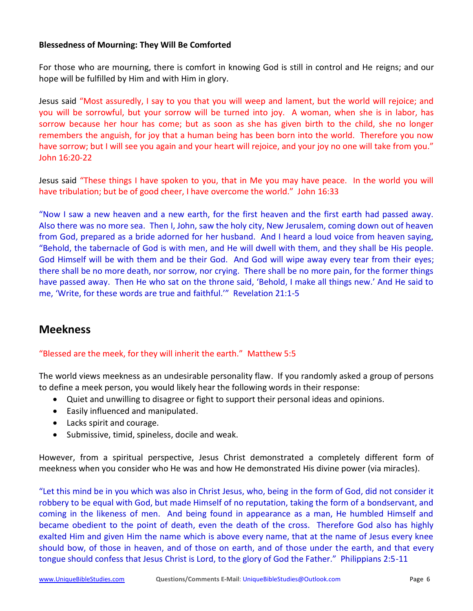### **Blessedness of Mourning: They Will Be Comforted**

For those who are mourning, there is comfort in knowing God is still in control and He reigns; and our hope will be fulfilled by Him and with Him in glory.

Jesus said "Most assuredly, I say to you that you will weep and lament, but the world will rejoice; and you will be sorrowful, but your sorrow will be turned into joy. A woman, when she is in labor, has sorrow because her hour has come; but as soon as she has given birth to the child, she no longer remembers the anguish, for joy that a human being has been born into the world. Therefore you now have sorrow; but I will see you again and your heart will rejoice, and your joy no one will take from you." John 16:20-22

Jesus said "These things I have spoken to you, that in Me you may have peace. In the world you will have tribulation; but be of good cheer, I have overcome the world." John 16:33

"Now I saw a new heaven and a new earth, for the first heaven and the first earth had passed away. Also there was no more sea. Then I, John, saw the holy city, New Jerusalem, coming down out of heaven from God, prepared as a bride adorned for her husband. And I heard a loud voice from heaven saying, "Behold, the tabernacle of God is with men, and He will dwell with them, and they shall be His people. God Himself will be with them and be their God. And God will wipe away every tear from their eyes; there shall be no more death, nor sorrow, nor crying. There shall be no more pain, for the former things have passed away. Then He who sat on the throne said, 'Behold, I make all things new.' And He said to me, 'Write, for these words are true and faithful.'" Revelation 21:1-5

## **Meekness**

"Blessed are the meek, for they will inherit the earth." Matthew 5:5

The world views meekness as an undesirable personality flaw. If you randomly asked a group of persons to define a meek person, you would likely hear the following words in their response:

- Quiet and unwilling to disagree or fight to support their personal ideas and opinions.
- Easily influenced and manipulated.
- Lacks spirit and courage.
- Submissive, timid, spineless, docile and weak.

However, from a spiritual perspective, Jesus Christ demonstrated a completely different form of meekness when you consider who He was and how He demonstrated His divine power (via miracles).

"Let this mind be in you which was also in Christ Jesus, who, being in the form of God, did not consider it robbery to be equal with God, but made Himself of no reputation, taking the form of a bondservant, and coming in the likeness of men. And being found in appearance as a man, He humbled Himself and became obedient to the point of death, even the death of the cross. Therefore God also has highly exalted Him and given Him the name which is above every name, that at the name of Jesus every knee should bow, of those in heaven, and of those on earth, and of those under the earth, and that every tongue should confess that Jesus Christ is Lord, to the glory of God the Father." Philippians 2:5-11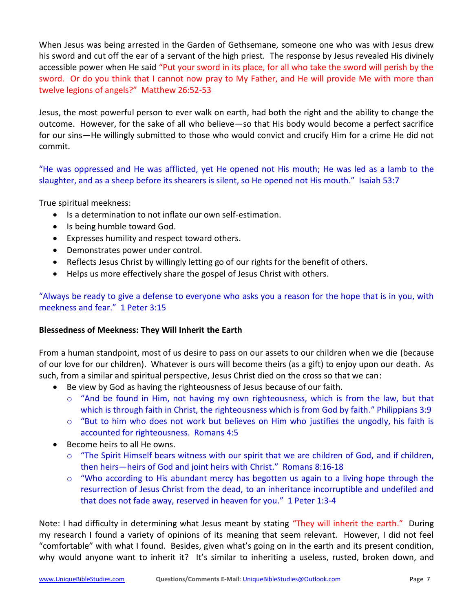When Jesus was being arrested in the Garden of Gethsemane, someone one who was with Jesus drew his sword and cut off the ear of a servant of the high priest. The response by Jesus revealed His divinely accessible power when He said "Put your sword in its place, for all who take the sword will perish by the sword. Or do you think that I cannot now pray to My Father, and He will provide Me with more than twelve legions of angels?" Matthew 26:52-53

Jesus, the most powerful person to ever walk on earth, had both the right and the ability to change the outcome. However, for the sake of all who believe—so that His body would become a perfect sacrifice for our sins—He willingly submitted to those who would convict and crucify Him for a crime He did not commit.

"He was oppressed and He was afflicted, yet He opened not His mouth; He was led as a lamb to the slaughter, and as a sheep before its shearers is silent, so He opened not His mouth." Isaiah 53:7

True spiritual meekness:

- Is a determination to not inflate our own self-estimation.
- Is being humble toward God.
- Expresses humility and respect toward others.
- Demonstrates power under control.
- Reflects Jesus Christ by willingly letting go of our rights for the benefit of others.
- Helps us more effectively share the gospel of Jesus Christ with others.

"Always be ready to give a defense to everyone who asks you a reason for the hope that is in you, with meekness and fear." 1 Peter 3:15

### **Blessedness of Meekness: They Will Inherit the Earth**

From a human standpoint, most of us desire to pass on our assets to our children when we die (because of our love for our children). Whatever is ours will become theirs (as a gift) to enjoy upon our death. As such, from a similar and spiritual perspective, Jesus Christ died on the cross so that we can:

- Be view by God as having the righteousness of Jesus because of our faith.
	- $\circ$  "And be found in Him, not having my own righteousness, which is from the law, but that which is through faith in Christ, the righteousness which is from God by faith." Philippians 3:9
	- $\circ$  "But to him who does not work but believes on Him who justifies the ungodly, his faith is accounted for righteousness. Romans 4:5
- Become heirs to all He owns.
	- $\circ$  "The Spirit Himself bears witness with our spirit that we are children of God, and if children, then heirs—heirs of God and joint heirs with Christ." Romans 8:16-18
	- $\circ$  "Who according to His abundant mercy has begotten us again to a living hope through the resurrection of Jesus Christ from the dead, to an inheritance incorruptible and undefiled and that does not fade away, reserved in heaven for you." 1 Peter 1:3-4

Note: I had difficulty in determining what Jesus meant by stating "They will inherit the earth." During my research I found a variety of opinions of its meaning that seem relevant. However, I did not feel "comfortable" with what I found. Besides, given what's going on in the earth and its present condition, why would anyone want to inherit it? It's similar to inheriting a useless, rusted, broken down, and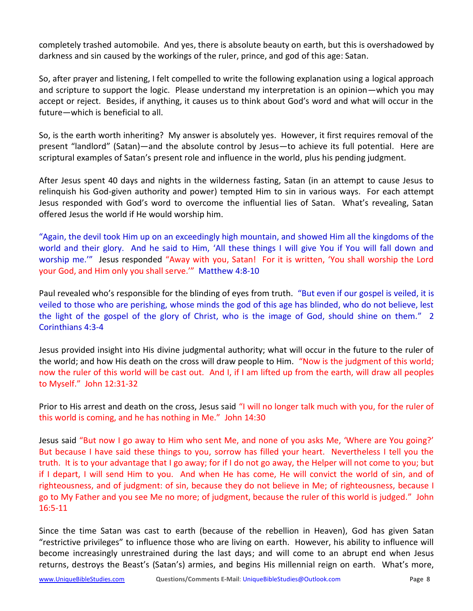completely trashed automobile. And yes, there is absolute beauty on earth, but this is overshadowed by darkness and sin caused by the workings of the ruler, prince, and god of this age: Satan.

So, after prayer and listening, I felt compelled to write the following explanation using a logical approach and scripture to support the logic. Please understand my interpretation is an opinion—which you may accept or reject. Besides, if anything, it causes us to think about God's word and what will occur in the future—which is beneficial to all.

So, is the earth worth inheriting? My answer is absolutely yes. However, it first requires removal of the present "landlord" (Satan)—and the absolute control by Jesus—to achieve its full potential. Here are scriptural examples of Satan's present role and influence in the world, plus his pending judgment.

After Jesus spent 40 days and nights in the wilderness fasting, Satan (in an attempt to cause Jesus to relinquish his God-given authority and power) tempted Him to sin in various ways. For each attempt Jesus responded with God's word to overcome the influential lies of Satan. What's revealing, Satan offered Jesus the world if He would worship him.

"Again, the devil took Him up on an exceedingly high mountain, and showed Him all the kingdoms of the world and their glory. And he said to Him, 'All these things I will give You if You will fall down and worship me.'" Jesus responded "Away with you, Satan! For it is written, 'You shall worship the Lord your God, and Him only you shall serve.'" Matthew 4:8-10

Paul revealed who's responsible for the blinding of eyes from truth. "But even if our gospel is veiled, it is veiled to those who are perishing, whose minds the god of this age has blinded, who do not believe, lest the light of the gospel of the glory of Christ, who is the image of God, should shine on them." 2 Corinthians 4:3-4

Jesus provided insight into His divine judgmental authority; what will occur in the future to the ruler of the world; and how His death on the cross will draw people to Him. "Now is the judgment of this world; now the ruler of this world will be cast out. And I, if I am lifted up from the earth, will draw all peoples to Myself." John 12:31-32

Prior to His arrest and death on the cross, Jesus said "I will no longer talk much with you, for the ruler of this world is coming, and he has nothing in Me." John 14:30

Jesus said "But now I go away to Him who sent Me, and none of you asks Me, 'Where are You going?' But because I have said these things to you, sorrow has filled your heart. Nevertheless I tell you the truth. It is to your advantage that I go away; for if I do not go away, the Helper will not come to you; but if I depart, I will send Him to you. And when He has come, He will convict the world of sin, and of righteousness, and of judgment: of sin, because they do not believe in Me; of righteousness, because I go to My Father and you see Me no more; of judgment, because the ruler of this world is judged." John 16:5-11

Since the time Satan was cast to earth (because of the rebellion in Heaven), God has given Satan "restrictive privileges" to influence those who are living on earth. However, his ability to influence will become increasingly unrestrained during the last days; and will come to an abrupt end when Jesus returns, destroys the Beast's (Satan's) armies, and begins His millennial reign on earth. What's more,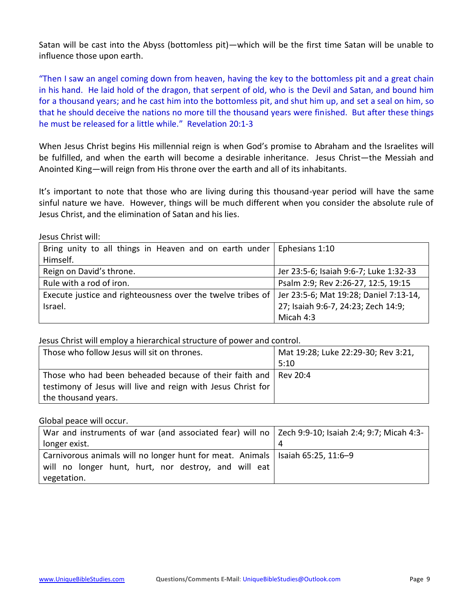Satan will be cast into the Abyss (bottomless pit)—which will be the first time Satan will be unable to influence those upon earth.

"Then I saw an angel coming down from heaven, having the key to the bottomless pit and a great chain in his hand. He laid hold of the dragon, that serpent of old, who is the Devil and Satan, and bound him for a thousand years; and he cast him into the bottomless pit, and shut him up, and set a seal on him, so that he should deceive the nations no more till the thousand years were finished. But after these things he must be released for a little while." Revelation 20:1-3

When Jesus Christ begins His millennial reign is when God's promise to Abraham and the Israelites will be fulfilled, and when the earth will become a desirable inheritance. Jesus Christ—the Messiah and Anointed King—will reign from His throne over the earth and all of its inhabitants.

It's important to note that those who are living during this thousand-year period will have the same sinful nature we have. However, things will be much different when you consider the absolute rule of Jesus Christ, and the elimination of Satan and his lies.

Jesus Christ will:

| Bring unity to all things in Heaven and on earth under Ephesians $1:10$                              |                                        |
|------------------------------------------------------------------------------------------------------|----------------------------------------|
| Himself.                                                                                             |                                        |
| Reign on David's throne.                                                                             | Jer 23:5-6; Isaiah 9:6-7; Luke 1:32-33 |
| Rule with a rod of iron.                                                                             | Psalm 2:9; Rev 2:26-27, 12:5, 19:15    |
| Execute justice and righteousness over the twelve tribes of   Jer 23:5-6; Mat 19:28; Daniel 7:13-14, |                                        |
| Israel.                                                                                              | 27; Isaiah 9:6-7, 24:23; Zech 14:9;    |
|                                                                                                      | Micah 4:3                              |

Jesus Christ will employ a hierarchical structure of power and control.

| Those who follow Jesus will sit on thrones.                  | Mat 19:28; Luke 22:29-30; Rev 3:21, |  |
|--------------------------------------------------------------|-------------------------------------|--|
|                                                              | 5:10                                |  |
| Those who had been beheaded because of their faith and       | Rev 20:4                            |  |
| testimony of Jesus will live and reign with Jesus Christ for |                                     |  |
| the thousand years.                                          |                                     |  |

Global peace will occur.

| War and instruments of war (and associated fear) will no   Zech 9:9-10; Isaiah 2:4; 9:7; Micah 4:3- |   |
|-----------------------------------------------------------------------------------------------------|---|
| longer exist.                                                                                       | 4 |
| Carnivorous animals will no longer hunt for meat. Animals   Isaiah 65:25, 11:6–9                    |   |
| will no longer hunt, hurt, nor destroy, and will eat                                                |   |
| vegetation.                                                                                         |   |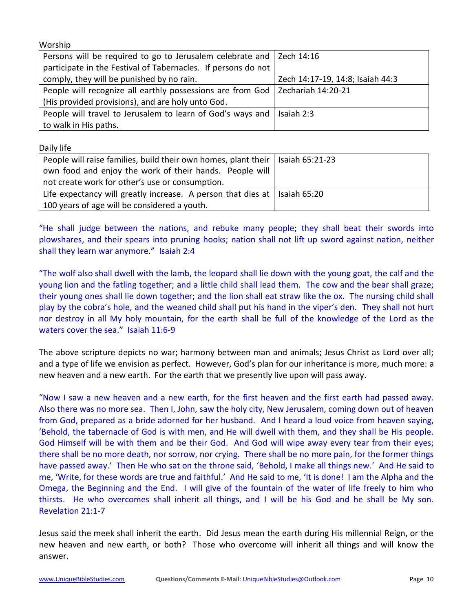Worship

| Persons will be required to go to Jerusalem celebrate and   Zech 14:16          |                                  |
|---------------------------------------------------------------------------------|----------------------------------|
| participate in the Festival of Tabernacles. If persons do not                   |                                  |
| comply, they will be punished by no rain.                                       | Zech 14:17-19, 14:8; Isaiah 44:3 |
| People will recognize all earthly possessions are from God   Zechariah 14:20-21 |                                  |
| (His provided provisions), and are holy unto God.                               |                                  |
| People will travel to Jerusalem to learn of God's ways and                      | Isaiah 2:3                       |
| to walk in His paths.                                                           |                                  |

Daily life

| People will raise families, build their own homes, plant their   Isaiah 65:21-23  |  |  |
|-----------------------------------------------------------------------------------|--|--|
| own food and enjoy the work of their hands. People will                           |  |  |
| not create work for other's use or consumption.                                   |  |  |
| Life expectancy will greatly increase. A person that dies at $\vert$ Isaiah 65:20 |  |  |
| 100 years of age will be considered a youth.                                      |  |  |

"He shall judge between the nations, and rebuke many people; they shall beat their swords into plowshares, and their spears into pruning hooks; nation shall not lift up sword against nation, neither shall they learn war anymore." Isaiah 2:4

"The wolf also shall dwell with the lamb, the leopard shall lie down with the young goat, the calf and the young lion and the fatling together; and a little child shall lead them. The cow and the bear shall graze; their young ones shall lie down together; and the lion shall eat straw like the ox. The nursing child shall play by the cobra's hole, and the weaned child shall put his hand in the viper's den. They shall not hurt nor destroy in all My holy mountain, for the earth shall be full of the knowledge of the Lord as the waters cover the sea." Isaiah 11:6-9

The above scripture depicts no war; harmony between man and animals; Jesus Christ as Lord over all; and a type of life we envision as perfect. However, God's plan for our inheritance is more, much more: a new heaven and a new earth. For the earth that we presently live upon will pass away.

"Now I saw a new heaven and a new earth, for the first heaven and the first earth had passed away. Also there was no more sea. Then I, John, saw the holy city, New Jerusalem, coming down out of heaven from God, prepared as a bride adorned for her husband. And I heard a loud voice from heaven saying, 'Behold, the tabernacle of God is with men, and He will dwell with them, and they shall be His people. God Himself will be with them and be their God. And God will wipe away every tear from their eyes; there shall be no more death, nor sorrow, nor crying. There shall be no more pain, for the former things have passed away.' Then He who sat on the throne said, 'Behold, I make all things new.' And He said to me, 'Write, for these words are true and faithful.' And He said to me, 'It is done! I am the Alpha and the Omega, the Beginning and the End. I will give of the fountain of the water of life freely to him who thirsts. He who overcomes shall inherit all things, and I will be his God and he shall be My son. Revelation 21:1-7

Jesus said the meek shall inherit the earth. Did Jesus mean the earth during His millennial Reign, or the new heaven and new earth, or both? Those who overcome will inherit all things and will know the answer.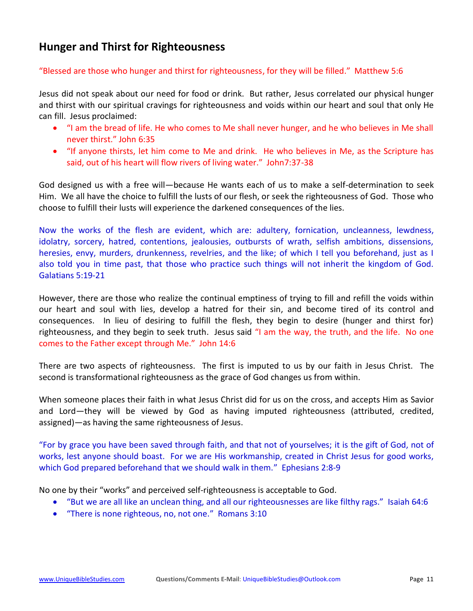## **Hunger and Thirst for Righteousness**

#### "Blessed are those who hunger and thirst for righteousness, for they will be filled." Matthew 5:6

Jesus did not speak about our need for food or drink. But rather, Jesus correlated our physical hunger and thirst with our spiritual cravings for righteousness and voids within our heart and soul that only He can fill. Jesus proclaimed:

- "I am the bread of life. He who comes to Me shall never hunger, and he who believes in Me shall never thirst." John 6:35
- "If anyone thirsts, let him come to Me and drink. He who believes in Me, as the Scripture has said, out of his heart will flow rivers of living water." John7:37-38

God designed us with a free will—because He wants each of us to make a self-determination to seek Him. We all have the choice to fulfill the lusts of our flesh, or seek the righteousness of God. Those who choose to fulfill their lusts will experience the darkened consequences of the lies.

Now the works of the flesh are evident, which are: adultery, fornication, uncleanness, lewdness, idolatry, sorcery, hatred, contentions, jealousies, outbursts of wrath, selfish ambitions, dissensions, heresies, envy, murders, drunkenness, revelries, and the like; of which I tell you beforehand, just as I also told you in time past, that those who practice such things will not inherit the kingdom of God. Galatians 5:19-21

However, there are those who realize the continual emptiness of trying to fill and refill the voids within our heart and soul with lies, develop a hatred for their sin, and become tired of its control and consequences. In lieu of desiring to fulfill the flesh, they begin to desire (hunger and thirst for) righteousness, and they begin to seek truth. Jesus said "I am the way, the truth, and the life. No one comes to the Father except through Me." John 14:6

There are two aspects of righteousness. The first is imputed to us by our faith in Jesus Christ. The second is transformational righteousness as the grace of God changes us from within.

When someone places their faith in what Jesus Christ did for us on the cross, and accepts Him as Savior and Lord—they will be viewed by God as having imputed righteousness (attributed, credited, assigned)—as having the same righteousness of Jesus.

"For by grace you have been saved through faith, and that not of yourselves; it is the gift of God, not of works, lest anyone should boast. For we are His workmanship, created in Christ Jesus for good works, which God prepared beforehand that we should walk in them." Ephesians 2:8-9

No one by their "works" and perceived self-righteousness is acceptable to God.

- "But we are all like an unclean thing, and all our righteousnesses are like filthy rags." Isaiah 64:6
- "There is none righteous, no, not one." Romans 3:10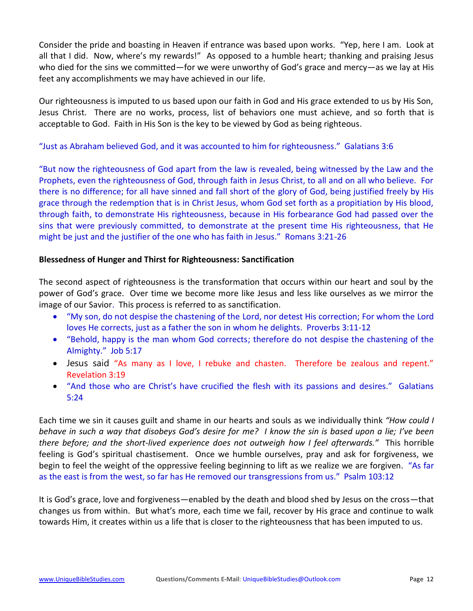Consider the pride and boasting in Heaven if entrance was based upon works. "Yep, here I am. Look at all that I did. Now, where's my rewards!" As opposed to a humble heart; thanking and praising Jesus who died for the sins we committed—for we were unworthy of God's grace and mercy—as we lay at His feet any accomplishments we may have achieved in our life.

Our righteousness is imputed to us based upon our faith in God and His grace extended to us by His Son, Jesus Christ. There are no works, process, list of behaviors one must achieve, and so forth that is acceptable to God. Faith in His Son is the key to be viewed by God as being righteous.

## "Just as Abraham believed God, and it was accounted to him for righteousness." Galatians 3:6

"But now the righteousness of God apart from the law is revealed, being witnessed by the Law and the Prophets, even the righteousness of God, through faith in Jesus Christ, to all and on all who believe. For there is no difference; for all have sinned and fall short of the glory of God, being justified freely by His grace through the redemption that is in Christ Jesus, whom God set forth as a propitiation by His blood, through faith, to demonstrate His righteousness, because in His forbearance God had passed over the sins that were previously committed, to demonstrate at the present time His righteousness, that He might be just and the justifier of the one who has faith in Jesus." Romans 3:21-26

### **Blessedness of Hunger and Thirst for Righteousness: Sanctification**

The second aspect of righteousness is the transformation that occurs within our heart and soul by the power of God's grace. Over time we become more like Jesus and less like ourselves as we mirror the image of our Savior. This process is referred to as sanctification.

- "My son, do not despise the chastening of the Lord, nor detest His correction; For whom the Lord loves He corrects, just as a father the son in whom he delights. Proverbs 3:11-12
- "Behold, happy is the man whom God corrects; therefore do not despise the chastening of the Almighty." Job 5:17
- Jesus said "As many as I love, I rebuke and chasten. Therefore be zealous and repent." Revelation 3:19
- "And those who are Christ's have crucified the flesh with its passions and desires." Galatians 5:24

Each time we sin it causes guilt and shame in our hearts and souls as we individually think *"How could I behave in such a way that disobeys God's desire for me? I know the sin is based upon a lie; I've been there before; and the short-lived experience does not outweigh how I feel afterwards."* This horrible feeling is God's spiritual chastisement. Once we humble ourselves, pray and ask for forgiveness, we begin to feel the weight of the oppressive feeling beginning to lift as we realize we are forgiven. "As far as the east is from the west, so far has He removed our transgressions from us." Psalm 103:12

It is God's grace, love and forgiveness—enabled by the death and blood shed by Jesus on the cross—that changes us from within. But what's more, each time we fail, recover by His grace and continue to walk towards Him, it creates within us a life that is closer to the righteousness that has been imputed to us.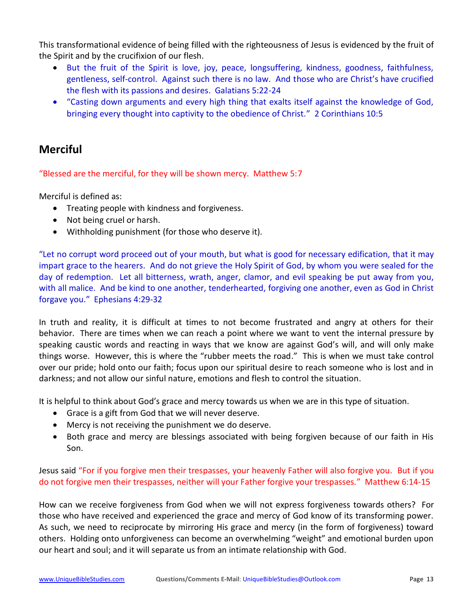This transformational evidence of being filled with the righteousness of Jesus is evidenced by the fruit of the Spirit and by the crucifixion of our flesh.

- But the fruit of the Spirit is love, joy, peace, longsuffering, kindness, goodness, faithfulness, gentleness, self-control. Against such there is no law. And those who are Christ's have crucified the flesh with its passions and desires. Galatians 5:22-24
- "Casting down arguments and every high thing that exalts itself against the knowledge of God, bringing every thought into captivity to the obedience of Christ." 2 Corinthians 10:5

## **Merciful**

"Blessed are the merciful, for they will be shown mercy. Matthew 5:7

Merciful is defined as:

- Treating people with kindness and forgiveness.
- Not being cruel or harsh.
- Withholding punishment (for those who deserve it).

"Let no corrupt word proceed out of your mouth, but what is good for necessary edification, that it may impart grace to the hearers. And do not grieve the Holy Spirit of God, by whom you were sealed for the day of redemption. Let all bitterness, wrath, anger, clamor, and evil speaking be put away from you, with all malice. And be kind to one another, tenderhearted, forgiving one another, even as God in Christ forgave you." Ephesians 4:29-32

In truth and reality, it is difficult at times to not become frustrated and angry at others for their behavior. There are times when we can reach a point where we want to vent the internal pressure by speaking caustic words and reacting in ways that we know are against God's will, and will only make things worse. However, this is where the "rubber meets the road." This is when we must take control over our pride; hold onto our faith; focus upon our spiritual desire to reach someone who is lost and in darkness; and not allow our sinful nature, emotions and flesh to control the situation.

It is helpful to think about God's grace and mercy towards us when we are in this type of situation.

- Grace is a gift from God that we will never deserve.
- Mercy is not receiving the punishment we do deserve.
- Both grace and mercy are blessings associated with being forgiven because of our faith in His Son.

## Jesus said "For if you forgive men their trespasses, your heavenly Father will also forgive you. But if you do not forgive men their trespasses, neither will your Father forgive your trespasses." Matthew 6:14-15

How can we receive forgiveness from God when we will not express forgiveness towards others? For those who have received and experienced the grace and mercy of God know of its transforming power. As such, we need to reciprocate by mirroring His grace and mercy (in the form of forgiveness) toward others. Holding onto unforgiveness can become an overwhelming "weight" and emotional burden upon our heart and soul; and it will separate us from an intimate relationship with God.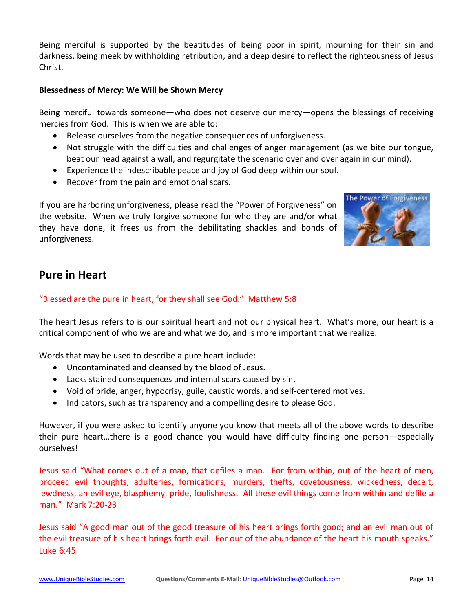Being merciful is supported by the beatitudes of being poor in spirit, mourning for their sin and darkness, being meek by withholding retribution, and a deep desire to reflect the righteousness of Jesus Christ.

### **Blessedness of Mercy: We Will be Shown Mercy**

Being merciful towards someone—who does not deserve our mercy—opens the blessings of receiving mercies from God. This is when we are able to:

- Release ourselves from the negative consequences of unforgiveness.
- Not struggle with the difficulties and challenges of anger management (as we bite our tongue, beat our head against a wall, and regurgitate the scenario over and over again in our mind).
- Experience the indescribable peace and joy of God deep within our soul.
- Recover from the pain and emotional scars.

If you are harboring unforgiveness, please read the "Power of Forgiveness" on the website. When we truly forgive someone for who they are and/or what they have done, it frees us from the debilitating shackles and bonds of unforgiveness.



## **Pure in Heart**

## "Blessed are the pure in heart, for they shall see God." Matthew 5:8

The heart Jesus refers to is our spiritual heart and not our physical heart. What's more, our heart is a critical component of who we are and what we do, and is more important that we realize.

Words that may be used to describe a pure heart include:

- Uncontaminated and cleansed by the blood of Jesus.
- Lacks stained consequences and internal scars caused by sin.
- Void of pride, anger, hypocrisy, guile, caustic words, and self-centered motives.
- Indicators, such as transparency and a compelling desire to please God.

However, if you were asked to identify anyone you know that meets all of the above words to describe their pure heart…there is a good chance you would have difficulty finding one person—especially ourselves!

Jesus said "What comes out of a man, that defiles a man. For from within, out of the heart of men, proceed evil thoughts, adulteries, fornications, murders, thefts, covetousness, wickedness, deceit, lewdness, an evil eye, blasphemy, pride, foolishness. All these evil things come from within and defile a man." Mark 7:20-23

Jesus said "A good man out of the good treasure of his heart brings forth good; and an evil man out of the evil treasure of his heart brings forth evil. For out of the abundance of the heart his mouth speaks." Luke 6:45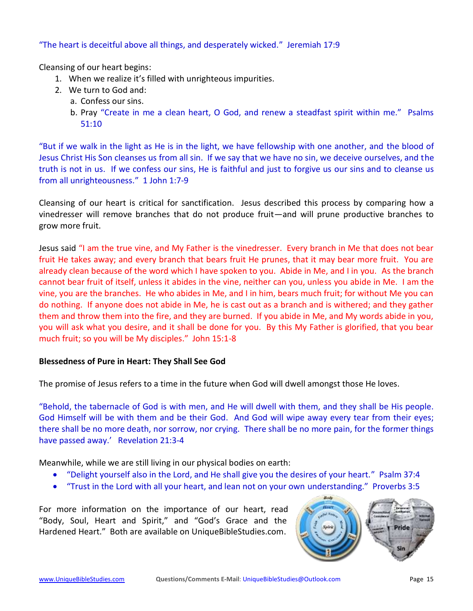## "The heart is deceitful above all things, and desperately wicked." Jeremiah 17:9

Cleansing of our heart begins:

- 1. When we realize it's filled with unrighteous impurities.
- 2. We turn to God and:
	- a. Confess our sins.
	- b. Pray "Create in me a clean heart, O God, and renew a steadfast spirit within me." Psalms 51:10

"But if we walk in the light as He is in the light, we have fellowship with one another, and the blood of Jesus Christ His Son cleanses us from all sin. If we say that we have no sin, we deceive ourselves, and the truth is not in us. If we confess our sins, He is faithful and just to forgive us our sins and to cleanse us from all unrighteousness." 1 John 1:7-9

Cleansing of our heart is critical for sanctification. Jesus described this process by comparing how a vinedresser will remove branches that do not produce fruit—and will prune productive branches to grow more fruit.

Jesus said "I am the true vine, and My Father is the vinedresser. Every branch in Me that does not bear fruit He takes away; and every branch that bears fruit He prunes, that it may bear more fruit. You are already clean because of the word which I have spoken to you. Abide in Me, and I in you. As the branch cannot bear fruit of itself, unless it abides in the vine, neither can you, unless you abide in Me. I am the vine, you are the branches. He who abides in Me, and I in him, bears much fruit; for without Me you can do nothing. If anyone does not abide in Me, he is cast out as a branch and is withered; and they gather them and throw them into the fire, and they are burned. If you abide in Me, and My words abide in you, you will ask what you desire, and it shall be done for you. By this My Father is glorified, that you bear much fruit; so you will be My disciples." John 15:1-8

### **Blessedness of Pure in Heart: They Shall See God**

The promise of Jesus refers to a time in the future when God will dwell amongst those He loves.

"Behold, the tabernacle of God is with men, and He will dwell with them, and they shall be His people. God Himself will be with them and be their God. And God will wipe away every tear from their eyes; there shall be no more death, nor sorrow, nor crying. There shall be no more pain, for the former things have passed away.' Revelation 21:3-4

Meanwhile, while we are still living in our physical bodies on earth:

- "Delight yourself also in the Lord, and He shall give you the desires of your heart." Psalm 37:4
- "Trust in the Lord with all your heart, and lean not on your own understanding." Proverbs 3:5

For more information on the importance of our heart, read "Body, Soul, Heart and Spirit," and "God's Grace and the Hardened Heart." Both are available on UniqueBibleStudies.com.

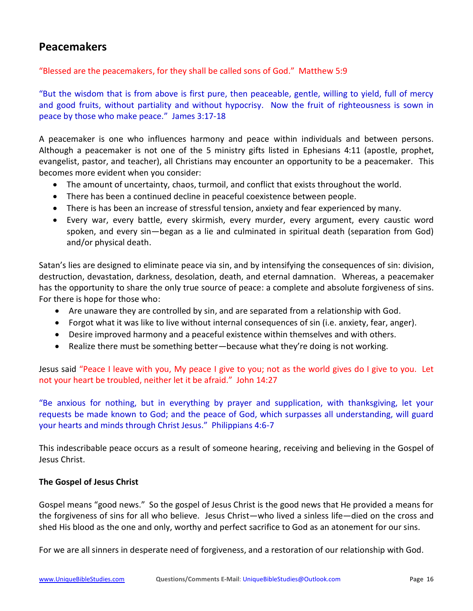## **Peacemakers**

### "Blessed are the peacemakers, for they shall be called sons of God." Matthew 5:9

"But the wisdom that is from above is first pure, then peaceable, gentle, willing to yield, full of mercy and good fruits, without partiality and without hypocrisy. Now the fruit of righteousness is sown in peace by those who make peace." James 3:17-18

A peacemaker is one who influences harmony and peace within individuals and between persons. Although a peacemaker is not one of the 5 ministry gifts listed in Ephesians 4:11 (apostle, prophet, evangelist, pastor, and teacher), all Christians may encounter an opportunity to be a peacemaker. This becomes more evident when you consider:

- The amount of uncertainty, chaos, turmoil, and conflict that exists throughout the world.
- There has been a continued decline in peaceful coexistence between people.
- There is has been an increase of stressful tension, anxiety and fear experienced by many.
- Every war, every battle, every skirmish, every murder, every argument, every caustic word spoken, and every sin—began as a lie and culminated in spiritual death (separation from God) and/or physical death.

Satan's lies are designed to eliminate peace via sin, and by intensifying the consequences of sin: division, destruction, devastation, darkness, desolation, death, and eternal damnation. Whereas, a peacemaker has the opportunity to share the only true source of peace: a complete and absolute forgiveness of sins. For there is hope for those who:

- Are unaware they are controlled by sin, and are separated from a relationship with God.
- Forgot what it was like to live without internal consequences of sin (i.e. anxiety, fear, anger).
- Desire improved harmony and a peaceful existence within themselves and with others.
- Realize there must be something better—because what they're doing is not working.

Jesus said "Peace I leave with you, My peace I give to you; not as the world gives do I give to you. Let not your heart be troubled, neither let it be afraid." John 14:27

"Be anxious for nothing, but in everything by prayer and supplication, with thanksgiving, let your requests be made known to God; and the peace of God, which surpasses all understanding, will guard your hearts and minds through Christ Jesus." Philippians 4:6-7

This indescribable peace occurs as a result of someone hearing, receiving and believing in the Gospel of Jesus Christ.

### **The Gospel of Jesus Christ**

Gospel means "good news." So the gospel of Jesus Christ is the good news that He provided a means for the forgiveness of sins for all who believe. Jesus Christ—who lived a sinless life—died on the cross and shed His blood as the one and only, worthy and perfect sacrifice to God as an atonement for our sins.

For we are all sinners in desperate need of forgiveness, and a restoration of our relationship with God.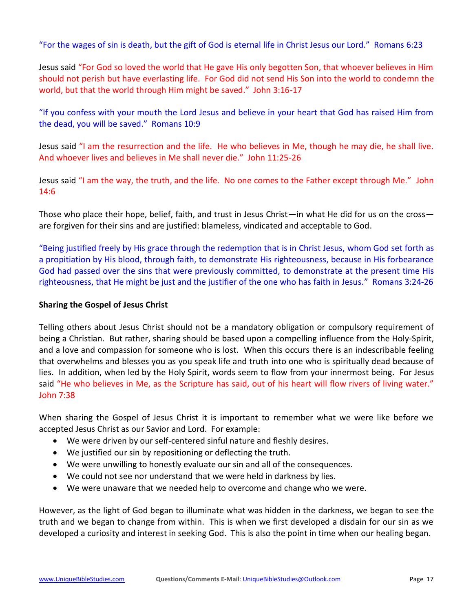"For the wages of sin is death, but the gift of God is eternal life in Christ Jesus our Lord." Romans 6:23

Jesus said "For God so loved the world that He gave His only begotten Son, that whoever believes in Him should not perish but have everlasting life. For God did not send His Son into the world to condemn the world, but that the world through Him might be saved." John 3:16-17

"If you confess with your mouth the Lord Jesus and believe in your heart that God has raised Him from the dead, you will be saved." Romans 10:9

Jesus said "I am the resurrection and the life. He who believes in Me, though he may die, he shall live. And whoever lives and believes in Me shall never die." John 11:25-26

Jesus said "I am the way, the truth, and the life. No one comes to the Father except through Me." John 14:6

Those who place their hope, belief, faith, and trust in Jesus Christ—in what He did for us on the cross are forgiven for their sins and are justified: blameless, vindicated and acceptable to God.

"Being justified freely by His grace through the redemption that is in Christ Jesus, whom God set forth as a propitiation by His blood, through faith, to demonstrate His righteousness, because in His forbearance God had passed over the sins that were previously committed, to demonstrate at the present time His righteousness, that He might be just and the justifier of the one who has faith in Jesus." Romans 3:24-26

### **Sharing the Gospel of Jesus Christ**

Telling others about Jesus Christ should not be a mandatory obligation or compulsory requirement of being a Christian. But rather, sharing should be based upon a compelling influence from the Holy-Spirit, and a love and compassion for someone who is lost. When this occurs there is an indescribable feeling that overwhelms and blesses you as you speak life and truth into one who is spiritually dead because of lies. In addition, when led by the Holy Spirit, words seem to flow from your innermost being. For Jesus said "He who believes in Me, as the Scripture has said, out of his heart will flow rivers of living water." John 7:38

When sharing the Gospel of Jesus Christ it is important to remember what we were like before we accepted Jesus Christ as our Savior and Lord. For example:

- We were driven by our self-centered sinful nature and fleshly desires.
- We justified our sin by repositioning or deflecting the truth.
- We were unwilling to honestly evaluate our sin and all of the consequences.
- We could not see nor understand that we were held in darkness by lies.
- We were unaware that we needed help to overcome and change who we were.

However, as the light of God began to illuminate what was hidden in the darkness, we began to see the truth and we began to change from within. This is when we first developed a disdain for our sin as we developed a curiosity and interest in seeking God. This is also the point in time when our healing began.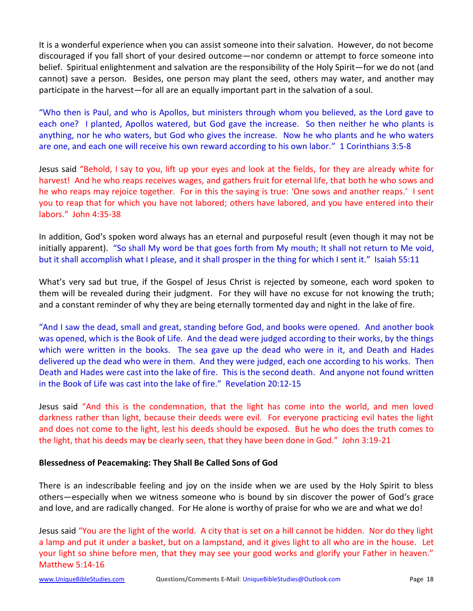It is a wonderful experience when you can assist someone into their salvation. However, do not become discouraged if you fall short of your desired outcome—nor condemn or attempt to force someone into belief. Spiritual enlightenment and salvation are the responsibility of the Holy Spirit—for we do not (and cannot) save a person. Besides, one person may plant the seed, others may water, and another may participate in the harvest—for all are an equally important part in the salvation of a soul.

"Who then is Paul, and who is Apollos, but ministers through whom you believed, as the Lord gave to each one? I planted, Apollos watered, but God gave the increase. So then neither he who plants is anything, nor he who waters, but God who gives the increase. Now he who plants and he who waters are one, and each one will receive his own reward according to his own labor." 1 Corinthians 3:5-8

Jesus said "Behold, I say to you, lift up your eyes and look at the fields, for they are already white for harvest! And he who reaps receives wages, and gathers fruit for eternal life, that both he who sows and he who reaps may rejoice together. For in this the saying is true: 'One sows and another reaps.' I sent you to reap that for which you have not labored; others have labored, and you have entered into their labors." John 4:35-38

In addition, God's spoken word always has an eternal and purposeful result (even though it may not be initially apparent). "So shall My word be that goes forth from My mouth; It shall not return to Me void, but it shall accomplish what I please, and it shall prosper in the thing for which I sent it." Isaiah 55:11

What's very sad but true, if the Gospel of Jesus Christ is rejected by someone, each word spoken to them will be revealed during their judgment. For they will have no excuse for not knowing the truth; and a constant reminder of why they are being eternally tormented day and night in the lake of fire.

"And I saw the dead, small and great, standing before God, and books were opened. And another book was opened, which is the Book of Life. And the dead were judged according to their works, by the things which were written in the books. The sea gave up the dead who were in it, and Death and Hades delivered up the dead who were in them. And they were judged, each one according to his works. Then Death and Hades were cast into the lake of fire. This is the second death. And anyone not found written in the Book of Life was cast into the lake of fire." Revelation 20:12-15

Jesus said "And this is the condemnation, that the light has come into the world, and men loved darkness rather than light, because their deeds were evil. For everyone practicing evil hates the light and does not come to the light, lest his deeds should be exposed. But he who does the truth comes to the light, that his deeds may be clearly seen, that they have been done in God." John 3:19-21

## **Blessedness of Peacemaking: They Shall Be Called Sons of God**

There is an indescribable feeling and joy on the inside when we are used by the Holy Spirit to bless others—especially when we witness someone who is bound by sin discover the power of God's grace and love, and are radically changed. For He alone is worthy of praise for who we are and what we do!

Jesus said "You are the light of the world. A city that is set on a hill cannot be hidden. Nor do they light a lamp and put it under a basket, but on a lampstand, and it gives light to all who are in the house. Let your light so shine before men, that they may see your good works and glorify your Father in heaven." Matthew 5:14-16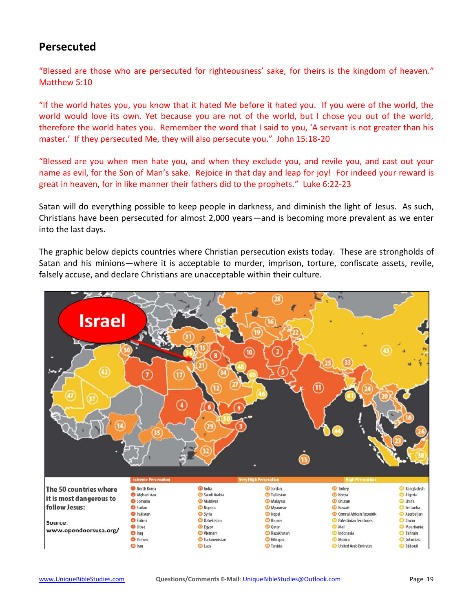## **Persecuted**

"Blessed are those who are persecuted for righteousness' sake, for theirs is the kingdom of heaven." Matthew 5:10

"If the world hates you, you know that it hated Me before it hated you. If you were of the world, the world would love its own. Yet because you are not of the world, but I chose you out of the world, therefore the world hates you. Remember the word that I said to you, 'A servant is not greater than his master.' If they persecuted Me, they will also persecute you." John 15:18-20

"Blessed are you when men hate you, and when they exclude you, and revile you, and cast out your name as evil, for the Son of Man's sake. Rejoice in that day and leap for joy! For indeed your reward is great in heaven, for in like manner their fathers did to the prophets." Luke 6:22-23

Satan will do everything possible to keep people in darkness, and diminish the light of Jesus. As such, Christians have been persecuted for almost 2,000 years—and is becoming more prevalent as we enter into the last days.

The graphic below depicts countries where Christian persecution exists today. These are strongholds of Satan and his minions—where it is acceptable to murder, imprison, torture, confiscate assets, revile, falsely accuse, and declare Christians are unacceptable within their culture.

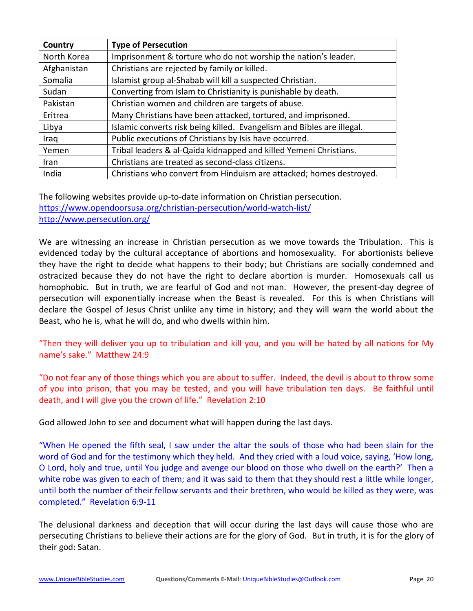| Country     | <b>Type of Persecution</b>                                             |
|-------------|------------------------------------------------------------------------|
| North Korea | Imprisonment & torture who do not worship the nation's leader.         |
| Afghanistan | Christians are rejected by family or killed.                           |
| Somalia     | Islamist group al-Shabab will kill a suspected Christian.              |
| Sudan       | Converting from Islam to Christianity is punishable by death.          |
| Pakistan    | Christian women and children are targets of abuse.                     |
| Eritrea     | Many Christians have been attacked, tortured, and imprisoned.          |
| Libya       | Islamic converts risk being killed. Evangelism and Bibles are illegal. |
| Iraq        | Public executions of Christians by Isis have occurred.                 |
| Yemen       | Tribal leaders & al-Qaida kidnapped and killed Yemeni Christians.      |
| Iran        | Christians are treated as second-class citizens.                       |
| India       | Christians who convert from Hinduism are attacked; homes destroyed.    |

The following websites provide up-to-date information on Christian persecution. <https://www.opendoorsusa.org/christian-persecution/world-watch-list/> <http://www.persecution.org/>

We are witnessing an increase in Christian persecution as we move towards the Tribulation. This is evidenced today by the cultural acceptance of abortions and homosexuality. For abortionists believe they have the right to decide what happens to their body; but Christians are socially condemned and ostracized because they do not have the right to declare abortion is murder. Homosexuals call us homophobic. But in truth, we are fearful of God and not man. However, the present-day degree of persecution will exponentially increase when the Beast is revealed. For this is when Christians will declare the Gospel of Jesus Christ unlike any time in history; and they will warn the world about the Beast, who he is, what he will do, and who dwells within him.

"Then they will deliver you up to tribulation and kill you, and you will be hated by all nations for My name's sake." Matthew 24:9

"Do not fear any of those things which you are about to suffer. Indeed, the devil is about to throw some of you into prison, that you may be tested, and you will have tribulation ten days. Be faithful until death, and I will give you the crown of life." Revelation 2:10

God allowed John to see and document what will happen during the last days.

"When He opened the fifth seal, I saw under the altar the souls of those who had been slain for the word of God and for the testimony which they held. And they cried with a loud voice, saying, 'How long, O Lord, holy and true, until You judge and avenge our blood on those who dwell on the earth?' Then a white robe was given to each of them; and it was said to them that they should rest a little while longer, until both the number of their fellow servants and their brethren, who would be killed as they were, was completed." Revelation 6:9-11

The delusional darkness and deception that will occur during the last days will cause those who are persecuting Christians to believe their actions are for the glory of God. But in truth, it is for the glory of their god: Satan.